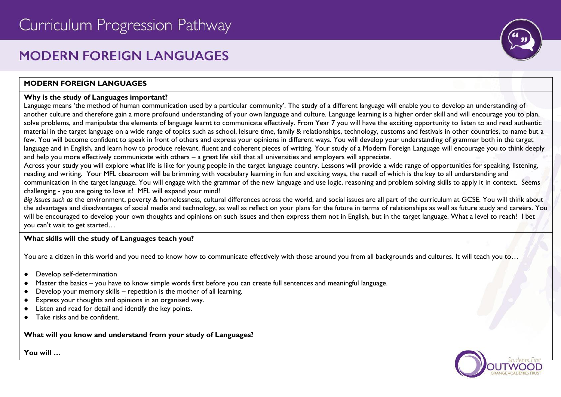# **MODERN FORFIGN I ANGUAGES**

## **MODERN FOREIGN LANGUAGES**

## **Why is the study of Languages important?**

Language means 'the method of human communication used by a particular community'. The study of a different language will enable you to develop an understanding of another culture and therefore gain a more profound understanding of your own language and culture. Language learning is a higher order skill and will encourage you to plan, solve problems, and manipulate the elements of language learnt to communicate effectively. From Year 7 you will have the exciting opportunity to listen to and read authentic material in the target language on a wide range of topics such as school, leisure time, family & relationships, technology, customs and festivals in other countries, to name but a few. You will become confident to speak in front of others and express your opinions in different ways. You will develop your understanding of grammar both in the target language and in English, and learn how to produce relevant, fluent and coherent pieces of writing. Your study of a Modern Foreign Language will encourage you to think deeply and help you more effectively communicate with others – a great life skill that all universities and employers will appreciate.

Across your study you will explore what life is like for young people in the target language country. Lessons will provide a wide range of opportunities for speaking, listening, reading and writing. Your MFL classroom will be brimming with vocabulary learning in fun and exciting ways, the recall of which is the key to all understanding and communication in the target language. You will engage with the grammar of the new language and use logic, reasoning and problem solving skills to apply it in context. Seems challenging - you are going to love it! MFL will expand your mind!

*Big Issues such as* the environment, poverty & homelessness, cultural differences across the world, and social issues are all part of the curriculum at GCSE. You will think about the advantages and disadvantages of social media and technology, as well as reflect on your plans for the future in terms of relationships as well as future study and careers. You will be encouraged to develop your own thoughts and opinions on such issues and then express them not in English, but in the target language. What a level to reach! I bet you can't wait to get started…

## **What skills will the study of Languages teach you?**

You are a citizen in this world and you need to know how to communicate effectively with those around you from all backgrounds and cultures. It will teach you to...

- Develop self-determination
- Master the basics you have to know simple words first before you can create full sentences and meaningful language.
- Develop your memory skills repetition is the mother of all learning.
- Express your thoughts and opinions in an organised way.
- Listen and read for detail and identify the key points.
- Take risks and be confident.

## **What will you know and understand from your study of Languages?**

**You will …** 

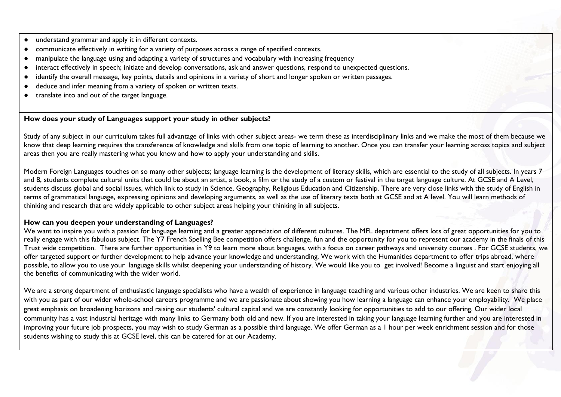- understand grammar and apply it in different contexts.
- communicate effectively in writing for a variety of purposes across a range of specified contexts.
- manipulate the language using and adapting a variety of structures and vocabulary with increasing frequency
- interact effectively in speech; initiate and develop conversations, ask and answer questions, respond to unexpected questions.
- identify the overall message, key points, details and opinions in a variety of short and longer spoken or written passages.
- deduce and infer meaning from a variety of spoken or written texts.
- translate into and out of the target language.

#### **How does your study of Languages support your study in other subjects?**

Study of any subject in our curriculum takes full advantage of links with other subject areas- we term these as interdisciplinary links and we make the most of them because we know that deep learning requires the transference of knowledge and skills from one topic of learning to another. Once you can transfer your learning across topics and subject areas then you are really mastering what you know and how to apply your understanding and skills.

Modern Foreign Languages touches on so many other subjects; language learning is the development of literacy skills, which are essential to the study of all subjects. In years 7 and 8, students complete cultural units that could be about an artist, a book, a film or the study of a custom or festival in the target language culture. At GCSE and A Level, students discuss global and social issues, which link to study in Science, Geography, Religious Education and Citizenship. There are very close links with the study of English in terms of grammatical language, expressing opinions and developing arguments, as well as the use of literary texts both at GCSE and at A level. You will learn methods of thinking and research that are widely applicable to other subject areas helping your thinking in all subjects.

#### **How can you deepen your understanding of Languages?**

We want to inspire you with a passion for language learning and a greater appreciation of different cultures. The MFL department offers lots of great opportunities for you to really engage with this fabulous subject. The Y7 French Spelling Bee competition offers challenge, fun and the opportunity for you to represent our academy in the finals of this Trust wide competition. There are further opportunities in Y9 to learn more about languages, with a focus on career pathways and university courses . For GCSE students, we offer targeted support or further development to help advance your knowledge and understanding. We work with the Humanities department to offer trips abroad, where possible, to allow you to use your language skills whilst deepening your understanding of history. We would like you to get involved! Become a linguist and start enjoying all the benefits of communicating with the wider world.

We are a strong department of enthusiastic language specialists who have a wealth of experience in language teaching and various other industries. We are keen to share this with you as part of our wider whole-school careers programme and we are passionate about showing you how learning a language can enhance your employability. We place great emphasis on broadening horizons and raising our students' cultural capital and we are constantly looking for opportunities to add to our offering. Our wider local community has a vast industrial heritage with many links to Germany both old and new. If you are interested in taking your language learning further and you are interested in improving your future job prospects, you may wish to study German as a possible third language. We offer German as a 1 hour per week enrichment session and for those students wishing to study this at GCSE level, this can be catered for at our Academy.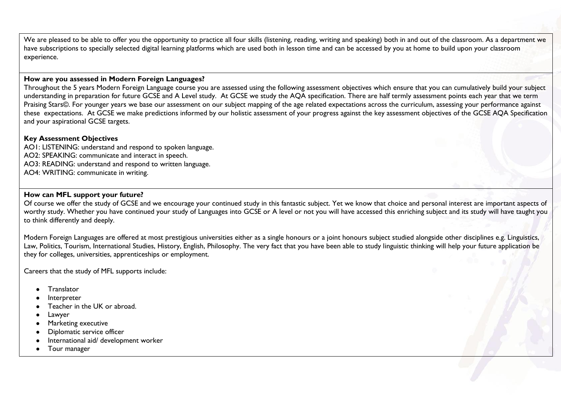We are pleased to be able to offer you the opportunity to practice all four skills (listening, reading, writing and speaking) both in and out of the classroom. As a department we have subscriptions to specially selected digital learning platforms which are used both in lesson time and can be accessed by you at home to build upon your classroom experience.

#### **How are you assessed in Modern Foreign Languages?**

Throughout the 5 years Modern Foreign Language course you are assessed using the following assessment objectives which ensure that you can cumulatively build your subject understanding in preparation for future GCSE and A Level study. At GCSE we study the AQA specification. There are half termly assessment points each year that we term Praising Stars©. For younger years we base our assessment on our subject mapping of the age related expectations across the curriculum, assessing your performance against these expectations. At GCSE we make predictions informed by our holistic assessment of your progress against the key assessment objectives of the GCSE AQA Specification and your aspirational GCSE targets.

## **Key Assessment Objectives**

AO1: LISTENING: understand and respond to spoken language. AO2: SPEAKING: communicate and interact in speech. AO3: READING: understand and respond to written language. AO4: WRITING: communicate in writing.

### **How can MFL support your future?**

Of course we offer the study of GCSE and we encourage your continued study in this fantastic subject. Yet we know that choice and personal interest are important aspects of worthy study. Whether you have continued your study of Languages into GCSE or A level or not you will have accessed this enriching subject and its study will have taught you to think differently and deeply.

Modern Foreign Languages are offered at most prestigious universities either as a single honours or a joint honours subject studied alongside other disciplines e.g. Linguistics, Law, Politics, Tourism, International Studies, History, English, Philosophy. The very fact that you have been able to study linguistic thinking will help your future application be they for colleges, universities, apprenticeships or employment.

Careers that the study of MFL supports include:

- Translator
- **Interpreter**
- Teacher in the UK or abroad.
- Lawyer
- **Marketing executive**
- Diplomatic service officer
- International aid/ development worker
- Tour manager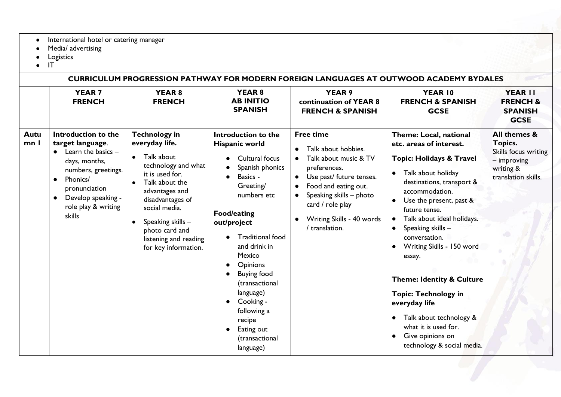- International hotel or catering manager
- Media/ advertising
- Logistics
- IT

|                         | <b>CURRICULUM PROGRESSION PATHWAY FOR MODERN FOREIGN LANGUAGES AT OUTWOOD ACADEMY BYDALES</b>                                                                                               |                                                                                                                                                                                                                                                                 |                                                                                                                                                                                                                                                                                                                                                                                      |                                                                                                                                                                                                                                  |                                                                                                                                                                                                                                                                                                                                                                                                                                                                                                                                |                                                                                                           |  |  |
|-------------------------|---------------------------------------------------------------------------------------------------------------------------------------------------------------------------------------------|-----------------------------------------------------------------------------------------------------------------------------------------------------------------------------------------------------------------------------------------------------------------|--------------------------------------------------------------------------------------------------------------------------------------------------------------------------------------------------------------------------------------------------------------------------------------------------------------------------------------------------------------------------------------|----------------------------------------------------------------------------------------------------------------------------------------------------------------------------------------------------------------------------------|--------------------------------------------------------------------------------------------------------------------------------------------------------------------------------------------------------------------------------------------------------------------------------------------------------------------------------------------------------------------------------------------------------------------------------------------------------------------------------------------------------------------------------|-----------------------------------------------------------------------------------------------------------|--|--|
|                         | <b>YEAR7</b><br><b>FRENCH</b>                                                                                                                                                               | <b>YEAR 8</b><br><b>FRENCH</b>                                                                                                                                                                                                                                  | <b>YEAR 8</b><br><b>AB INITIO</b><br><b>SPANISH</b>                                                                                                                                                                                                                                                                                                                                  | <b>YEAR 9</b><br>continuation of YEAR 8<br><b>FRENCH &amp; SPANISH</b>                                                                                                                                                           | YEAR 10<br><b>FRENCH &amp; SPANISH</b><br><b>GCSE</b>                                                                                                                                                                                                                                                                                                                                                                                                                                                                          | <b>YEAR II</b><br><b>FRENCH &amp;</b><br><b>SPANISH</b><br><b>GCSE</b>                                    |  |  |
| Autu<br>mn <sub>l</sub> | Introduction to the<br>target language.<br>Learn the basics $-$<br>days, months,<br>numbers, greetings.<br>Phonics/<br>pronunciation<br>Develop speaking -<br>role play & writing<br>skills | <b>Technology in</b><br>everyday life.<br>Talk about<br>technology and what<br>it is used for.<br>Talk about the<br>advantages and<br>disadvantages of<br>social media.<br>Speaking skills -<br>photo card and<br>listening and reading<br>for key information. | Introduction to the<br>Hispanic world<br>Cultural focus<br>Spanish phonics<br>Basics -<br>Greeting/<br>numbers etc<br><b>Food/eating</b><br>out/project<br><b>Traditional food</b><br>and drink in<br>Mexico<br><b>Opinions</b><br>$\bullet$<br><b>Buying food</b><br>(transactional<br>language)<br>Cooking -<br>following a<br>recipe<br>Eating out<br>(transactional<br>language) | <b>Free time</b><br>Talk about hobbies.<br>Talk about music & TV<br>preferences.<br>Use past/ future tenses.<br>Food and eating out.<br>Speaking skills - photo<br>card / role play<br>Writing Skills - 40 words<br>translation. | Theme: Local, national<br>etc. areas of interest.<br><b>Topic: Holidays &amp; Travel</b><br>Talk about holiday<br>destinations, transport &<br>accommodation.<br>Use the present, past &<br>future tense.<br>Talk about ideal holidays.<br>$\bullet$<br>Speaking skills -<br>conversation.<br>Writing Skills - 150 word<br>essay.<br><b>Theme: Identity &amp; Culture</b><br><b>Topic: Technology in</b><br>everyday life<br>Talk about technology &<br>what it is used for.<br>Give opinions on<br>technology & social media. | All themes &<br>Topics.<br>Skills focus writing<br>$-$ improving<br>writing &<br>translation skills.<br>æ |  |  |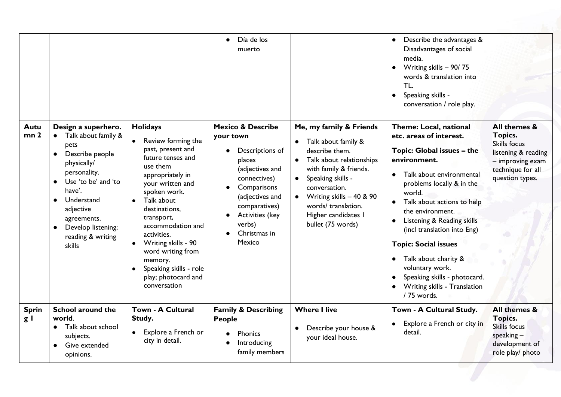|                                |                                                                                                                                                                                                                                                   |                                                                                                                                                                                                                                                                                                                                                                                        | Día de los<br>$\bullet$<br>muerto                                                                                                                                                                                   |                                                                                                                                                                                                                                                                                                                | Describe the advantages &<br>$\bullet$<br>Disadvantages of social<br>media.<br>Writing skills - 90/75<br>$\bullet$<br>words & translation into<br>TL.<br>Speaking skills -<br>$\bullet$<br>conversation / role play.                                                                                                                                                                                                                                                                                                           |                                                                                                                                   |
|--------------------------------|---------------------------------------------------------------------------------------------------------------------------------------------------------------------------------------------------------------------------------------------------|----------------------------------------------------------------------------------------------------------------------------------------------------------------------------------------------------------------------------------------------------------------------------------------------------------------------------------------------------------------------------------------|---------------------------------------------------------------------------------------------------------------------------------------------------------------------------------------------------------------------|----------------------------------------------------------------------------------------------------------------------------------------------------------------------------------------------------------------------------------------------------------------------------------------------------------------|--------------------------------------------------------------------------------------------------------------------------------------------------------------------------------------------------------------------------------------------------------------------------------------------------------------------------------------------------------------------------------------------------------------------------------------------------------------------------------------------------------------------------------|-----------------------------------------------------------------------------------------------------------------------------------|
| <b>Autu</b><br>mn <sub>2</sub> | Design a superhero.<br>Talk about family &<br>pets<br>Describe people<br>physically/<br>personality.<br>Use 'to be' and 'to<br>have'.<br>Understand<br>adjective<br>agreements.<br>Develop listening;<br>$\bullet$<br>reading & writing<br>skills | <b>Holidays</b><br>Review forming the<br>$\bullet$<br>past, present and<br>future tenses and<br>use them<br>appropriately in<br>your written and<br>spoken work.<br>Talk about<br>$\bullet$<br>destinations,<br>transport,<br>accommodation and<br>activities.<br>Writing skills - 90<br>word writing from<br>memory.<br>Speaking skills - role<br>play; photocard and<br>conversation | <b>Mexico &amp; Describe</b><br>your town<br>Descriptions of<br>places<br>(adjectives and<br>connectives)<br>Comparisons<br>(adjectives and<br>comparatives)<br>Activities (key<br>verbs)<br>Christmas in<br>Mexico | Me, my family & Friends<br>Talk about family &<br>$\bullet$<br>describe them.<br>Talk about relationships<br>$\bullet$<br>with family & friends.<br>Speaking skills -<br>$\bullet$<br>conversation.<br>Writing skills - 40 & 90<br>$\bullet$<br>words/translation.<br>Higher candidates I<br>bullet (75 words) | <b>Theme: Local, national</b><br>etc. areas of interest.<br>Topic: Global issues - the<br>environment.<br>Talk about environmental<br>$\bullet$<br>problems locally & in the<br>world.<br>Talk about actions to help<br>$\bullet$<br>the environment.<br>Listening & Reading skills<br>$\bullet$<br>(incl translation into Eng)<br><b>Topic: Social issues</b><br>Talk about charity &<br>$\bullet$<br>voluntary work.<br>Speaking skills - photocard.<br>$\bullet$<br>Writing skills - Translation<br>$\bullet$<br>/75 words. | All themes &<br>Topics.<br><b>Skills focus</b><br>listening & reading<br>- improving exam<br>technique for all<br>question types. |
| <b>Sprin</b><br>g <sub>l</sub> | <b>School around the</b><br>world.<br>Talk about school<br>subjects.<br>Give extended<br>opinions.                                                                                                                                                | <b>Town - A Cultural</b><br>Study.<br>Explore a French or<br>$\bullet$<br>city in detail.                                                                                                                                                                                                                                                                                              | <b>Family &amp; Describing</b><br><b>People</b><br>Phonics<br>$\bullet$<br>Introducing<br>family members                                                                                                            | <b>Where I live</b><br>Describe your house &<br>your ideal house.                                                                                                                                                                                                                                              | Town - A Cultural Study.<br>Explore a French or city in<br>$\bullet$<br>detail.                                                                                                                                                                                                                                                                                                                                                                                                                                                | All themes &<br>Topics.<br><b>Skills focus</b><br>speaking -<br>development of<br>role play/ photo                                |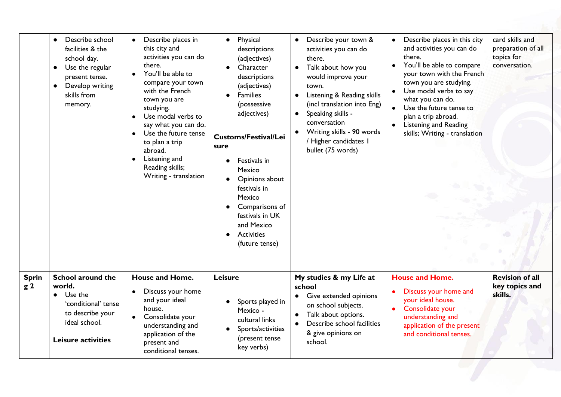|                                | Describe school<br>$\bullet$<br>facilities & the<br>school day.<br>Use the regular<br>present tense.<br>Develop writing<br>skills from<br>memory. | Describe places in<br>this city and<br>activities you can do<br>there.<br>You'll be able to<br>$\bullet$<br>compare your town<br>with the French<br>town you are<br>studying.<br>Use modal verbs to<br>say what you can do.<br>Use the future tense<br>to plan a trip<br>abroad.<br>Listening and<br>Reading skills;<br>Writing - translation | Physical<br>$\bullet$<br>descriptions<br>(adjectives)<br>Character<br>descriptions<br>(adjectives)<br>Families<br>(possessive<br>adjectives)<br><b>Customs/Festival/Lei</b><br>sure<br>Festivals in<br>$\bullet$<br>Mexico<br>Opinions about<br>festivals in<br>Mexico<br>Comparisons of<br>festivals in UK<br>and Mexico<br><b>Activities</b><br>(future tense) | Describe your town &<br>$\bullet$<br>activities you can do<br>there.<br>Talk about how you<br>$\bullet$<br>would improve your<br>town.<br>Listening & Reading skills<br>(incl translation into Eng)<br>Speaking skills -<br>conversation<br>Writing skills - 90 words<br>/ Higher candidates 1<br>bullet (75 words) | Describe places in this city<br>and activities you can do<br>there.<br>You'll be able to compare<br>your town with the French<br>town you are studying.<br>Use modal verbs to say<br>what you can do.<br>Use the future tense to<br>plan a trip abroad.<br><b>Listening and Reading</b><br>$\bullet$<br>skills; Writing - translation | card skills and<br>preparation of all<br>topics for<br>conversation. |
|--------------------------------|---------------------------------------------------------------------------------------------------------------------------------------------------|-----------------------------------------------------------------------------------------------------------------------------------------------------------------------------------------------------------------------------------------------------------------------------------------------------------------------------------------------|------------------------------------------------------------------------------------------------------------------------------------------------------------------------------------------------------------------------------------------------------------------------------------------------------------------------------------------------------------------|---------------------------------------------------------------------------------------------------------------------------------------------------------------------------------------------------------------------------------------------------------------------------------------------------------------------|---------------------------------------------------------------------------------------------------------------------------------------------------------------------------------------------------------------------------------------------------------------------------------------------------------------------------------------|----------------------------------------------------------------------|
| <b>Sprin</b><br>g <sub>2</sub> | <b>School around the</b><br>world.<br>Use the<br>'conditional' tense<br>to describe your<br>ideal school.<br><b>Leisure activities</b>            | House and Home.<br>Discuss your home<br>and your ideal<br>house.<br>Consolidate your<br>understanding and<br>application of the<br>present and<br>conditional tenses.                                                                                                                                                                         | Leisure<br>Sports played in<br>Mexico -<br>cultural links<br>Sports/activities<br>(present tense<br>key verbs)                                                                                                                                                                                                                                                   | My studies & my Life at<br>school<br>Give extended opinions<br>$\bullet$<br>on school subjects.<br>Talk about options.<br>Describe school facilities<br>& give opinions on<br>school.                                                                                                                               | <b>House and Home.</b><br>Discuss your home and<br>your ideal house.<br>Consolidate your<br>understanding and<br>application of the present<br>and conditional tenses.                                                                                                                                                                | <b>Revision of all</b><br>key topics and<br>skills.                  |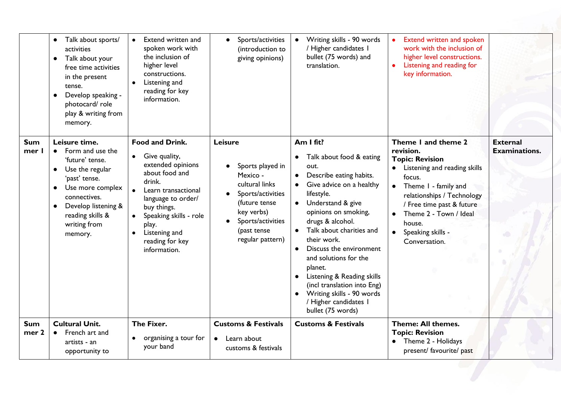| <b>Sum</b>          |                                                                                                                                                                                                                 |                                                                                                                                                                                                                                             |                                                                                                                                                                       |                                                                                                                                                                                                                                                                                                                                                                                                                                                                              |                                                                                                                                                                                                                                                                   |                                         |
|---------------------|-----------------------------------------------------------------------------------------------------------------------------------------------------------------------------------------------------------------|---------------------------------------------------------------------------------------------------------------------------------------------------------------------------------------------------------------------------------------------|-----------------------------------------------------------------------------------------------------------------------------------------------------------------------|------------------------------------------------------------------------------------------------------------------------------------------------------------------------------------------------------------------------------------------------------------------------------------------------------------------------------------------------------------------------------------------------------------------------------------------------------------------------------|-------------------------------------------------------------------------------------------------------------------------------------------------------------------------------------------------------------------------------------------------------------------|-----------------------------------------|
| mer I<br>$\bullet$  | Leisure time.<br>Form and use the<br>$\bullet$<br>'future' tense.<br>Use the regular<br>'past' tense.<br>Use more complex<br>connectives.<br>Develop listening &<br>reading skills &<br>writing from<br>memory. | <b>Food and Drink.</b><br>Give quality,<br>extended opinions<br>about food and<br>drink.<br>Learn transactional<br>language to order/<br>buy things.<br>Speaking skills - role<br>play.<br>Listening and<br>reading for key<br>information. | Leisure<br>Sports played in<br>Mexico -<br>cultural links<br>Sports/activities<br>(future tense<br>key verbs)<br>Sports/activities<br>(past tense<br>regular pattern) | Am I fit?<br>Talk about food & eating<br>out.<br>Describe eating habits.<br>$\bullet$<br>Give advice on a healthy<br>lifestyle.<br>Understand & give<br>opinions on smoking,<br>drugs & alcohol.<br>Talk about charities and<br>their work.<br>Discuss the environment<br>$\bullet$<br>and solutions for the<br>planet.<br>Listening & Reading skills<br>(incl translation into Eng)<br>Writing skills - 90 words<br>$\bullet$<br>/ Higher candidates I<br>bullet (75 words) | Theme I and theme 2<br>revision.<br><b>Topic: Revision</b><br>Listening and reading skills<br>focus.<br>Theme I - family and<br>relationships / Technology<br>/ Free time past & future<br>Theme 2 - Town / Ideal<br>house.<br>Speaking skills -<br>Conversation. | <b>External</b><br><b>Examinations.</b> |
| <b>Sum</b><br>mer 2 | <b>Cultural Unit.</b><br>French art and<br>artists - an<br>opportunity to                                                                                                                                       | The Fixer.<br>organising a tour for<br>your band                                                                                                                                                                                            | <b>Customs &amp; Festivals</b><br>Learn about<br>$\bullet$<br>customs & festivals                                                                                     | <b>Customs &amp; Festivals</b>                                                                                                                                                                                                                                                                                                                                                                                                                                               | Theme: All themes.<br><b>Topic: Revision</b><br>• Theme 2 - Holidays<br>present/ favourite/ past                                                                                                                                                                  |                                         |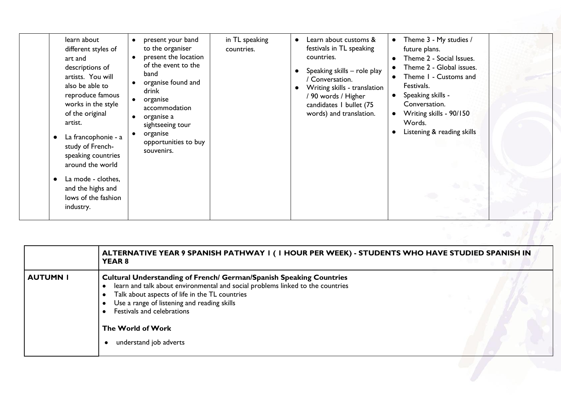| learn about<br>different styles of<br>art and<br>descriptions of<br>artists. You will<br>also be able to<br>reproduce famous<br>works in the style<br>of the original<br>artist.<br>La francophonie - a<br>study of French-<br>speaking countries<br>around the world<br>La mode - clothes,<br>and the highs and<br>lows of the fashion<br>industry. | present your band<br>to the organiser<br>present the location<br>of the event to the<br>band<br>organise found and<br>drink<br>organise<br>accommodation<br>organise a<br>sightseeing tour<br>organise<br>opportunities to buy<br>souvenirs. | in TL speaking<br>countries. | Learn about customs &<br>festivals in TL speaking<br>countries.<br>Speaking skills - role play<br>Conversation.<br>Writing skills - translation<br>/ 90 words / Higher<br>candidates I bullet (75<br>words) and translation. | Theme 3 - My studies /<br>future plans.<br>Theme 2 - Social Issues.<br>Theme 2 - Global issues.<br>Theme I - Customs and<br>Festivals.<br>Speaking skills -<br>Conversation.<br>Writing skills - 90/150<br>Words.<br>Listening & reading skills |
|------------------------------------------------------------------------------------------------------------------------------------------------------------------------------------------------------------------------------------------------------------------------------------------------------------------------------------------------------|----------------------------------------------------------------------------------------------------------------------------------------------------------------------------------------------------------------------------------------------|------------------------------|------------------------------------------------------------------------------------------------------------------------------------------------------------------------------------------------------------------------------|-------------------------------------------------------------------------------------------------------------------------------------------------------------------------------------------------------------------------------------------------|

|                 | ALTERNATIVE YEAR 9 SPANISH PATHWAY I (I HOUR PER WEEK) - STUDENTS WHO HAVE STUDIED SPANISH IN<br><b>YEAR 8</b>                                                                                                                                                                              |  |
|-----------------|---------------------------------------------------------------------------------------------------------------------------------------------------------------------------------------------------------------------------------------------------------------------------------------------|--|
| <b>AUTUMN I</b> | <b>Cultural Understanding of French/ German/Spanish Speaking Countries</b><br>learn and talk about environmental and social problems linked to the countries<br>Talk about aspects of life in the TL countries<br>Use a range of listening and reading skills<br>Festivals and celebrations |  |
|                 | The World of Work<br>understand job adverts                                                                                                                                                                                                                                                 |  |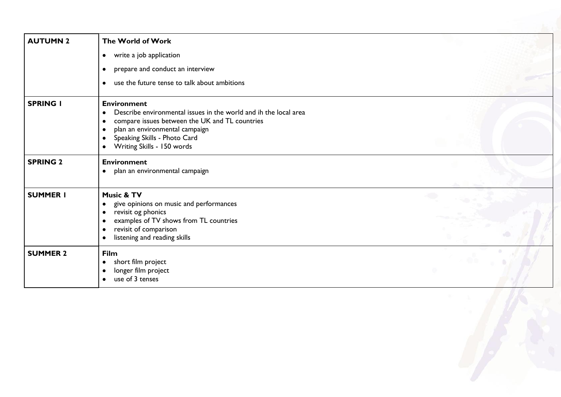| <b>AUTUMN 2</b> | The World of Work                                                                                                                                                                                                                                                                            |  |
|-----------------|----------------------------------------------------------------------------------------------------------------------------------------------------------------------------------------------------------------------------------------------------------------------------------------------|--|
|                 | • write a job application                                                                                                                                                                                                                                                                    |  |
|                 | prepare and conduct an interview<br>$\bullet$                                                                                                                                                                                                                                                |  |
|                 | use the future tense to talk about ambitions<br>$\bullet$                                                                                                                                                                                                                                    |  |
| <b>SPRING I</b> | <b>Environment</b><br>Describe environmental issues in the world and ih the local area<br>compare issues between the UK and TL countries<br>$\bullet$<br>plan an environmental campaign<br>$\bullet$<br>Speaking Skills - Photo Card<br>$\bullet$<br>Writing Skills - 150 words<br>$\bullet$ |  |
| <b>SPRING 2</b> | <b>Environment</b><br>• plan an environmental campaign                                                                                                                                                                                                                                       |  |
| <b>SUMMER I</b> | <b>Music &amp; TV</b><br>give opinions on music and performances<br>$\bullet$<br>revisit og phonics<br>$\bullet$<br>examples of TV shows from TL countries<br>revisit of comparison<br>$\bullet$<br>listening and reading skills<br>$\bullet$                                                |  |
| <b>SUMMER 2</b> | Film<br>short film project<br>$\bullet$<br>longer film project<br>$\bullet$<br>use of 3 tenses<br>$\bullet$                                                                                                                                                                                  |  |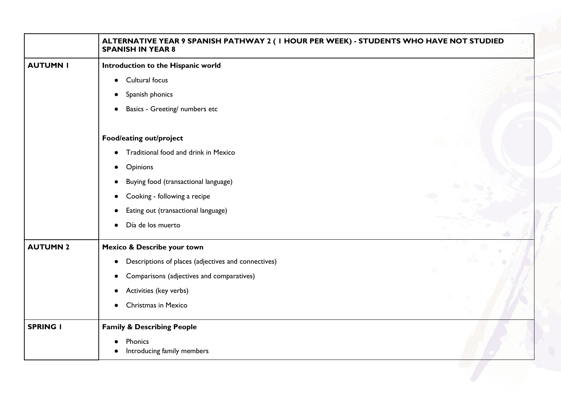|                 | ALTERNATIVE YEAR 9 SPANISH PATHWAY 2 (I HOUR PER WEEK) - STUDENTS WHO HAVE NOT STUDIED<br><b>SPANISH IN YEAR 8</b> |  |
|-----------------|--------------------------------------------------------------------------------------------------------------------|--|
| <b>AUTUMN I</b> | Introduction to the Hispanic world                                                                                 |  |
|                 | Cultural focus<br>$\bullet$                                                                                        |  |
|                 | Spanish phonics<br>$\bullet$                                                                                       |  |
|                 | Basics - Greeting/ numbers etc<br>$\bullet$                                                                        |  |
|                 | Food/eating out/project                                                                                            |  |
|                 | Traditional food and drink in Mexico<br>$\bullet$                                                                  |  |
|                 | Opinions<br>$\bullet$                                                                                              |  |
|                 | Buying food (transactional language)<br>$\bullet$                                                                  |  |
|                 | Cooking - following a recipe<br>$\bullet$                                                                          |  |
|                 | Eating out (transactional language)<br>$\bullet$                                                                   |  |
|                 | Día de los muerto                                                                                                  |  |
| <b>AUTUMN 2</b> | Mexico & Describe your town                                                                                        |  |
|                 | Descriptions of places (adjectives and connectives)<br>$\bullet$                                                   |  |
|                 | Comparisons (adjectives and comparatives)<br>$\bullet$                                                             |  |
|                 | Activities (key verbs)<br>$\bullet$                                                                                |  |
|                 | Christmas in Mexico                                                                                                |  |
| <b>SPRING I</b> | <b>Family &amp; Describing People</b>                                                                              |  |
|                 | Phonics<br>Introducing family members                                                                              |  |